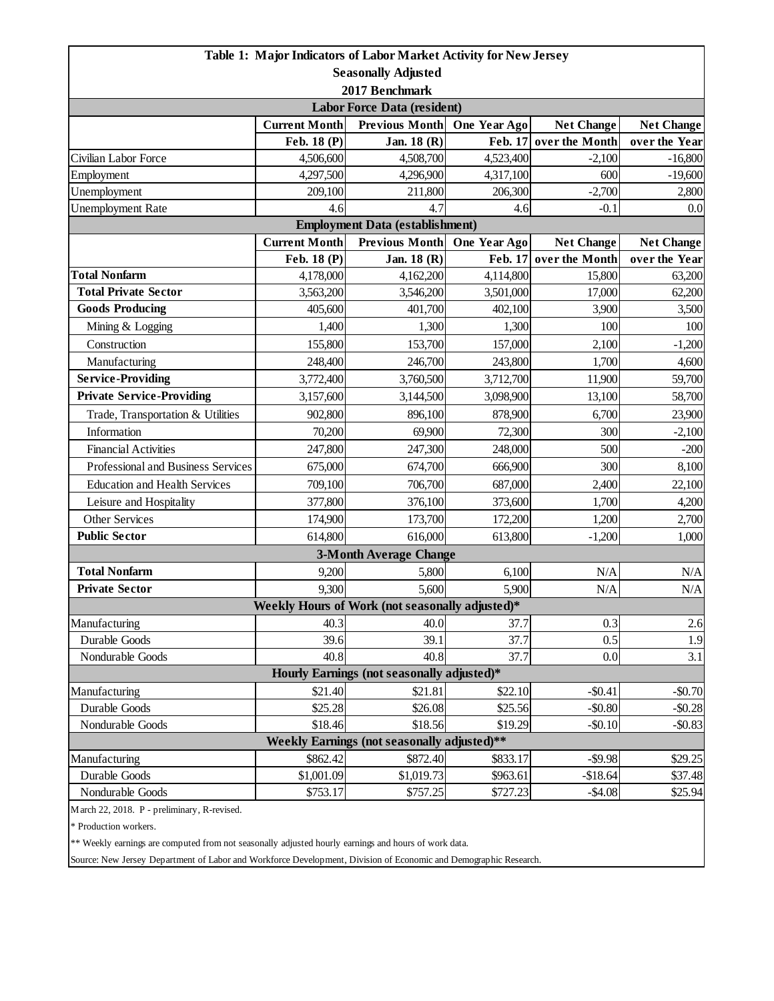|                                             |                      | Table 1: Major Indicators of Labor Market Activity for New Jersey |              |                   |                   |  |  |  |
|---------------------------------------------|----------------------|-------------------------------------------------------------------|--------------|-------------------|-------------------|--|--|--|
| <b>Seasonally Adjusted</b>                  |                      |                                                                   |              |                   |                   |  |  |  |
| 2017 Benchmark                              |                      |                                                                   |              |                   |                   |  |  |  |
| <b>Labor Force Data (resident)</b>          |                      |                                                                   |              |                   |                   |  |  |  |
|                                             | <b>Current Month</b> | <b>Previous Month</b>                                             | One Year Ago | <b>Net Change</b> | <b>Net Change</b> |  |  |  |
|                                             | Feb. 18 (P)          | Jan. 18 (R)                                                       | Feb. 17      | over the Month    | over the Year     |  |  |  |
| Civilian Labor Force                        | 4,506,600            | 4,508,700                                                         | 4,523,400    | $-2,100$          | $-16,800$         |  |  |  |
| Employment                                  | 4,297,500            | 4,296,900                                                         | 4,317,100    | 600               | $-19,600$         |  |  |  |
| Unemployment                                | 209,100              | 211,800                                                           | 206,300      | $-2,700$          | 2,800             |  |  |  |
| <b>Unemployment Rate</b>                    | 4.6                  | 4.7                                                               | 4.6          | $-0.1$            | 0.0               |  |  |  |
| <b>Employment Data (establishment)</b>      |                      |                                                                   |              |                   |                   |  |  |  |
|                                             | <b>Current Month</b> | <b>Previous Month</b>                                             | One Year Ago | <b>Net Change</b> | <b>Net Change</b> |  |  |  |
|                                             | Feb. 18 (P)          | Jan. 18 (R)                                                       | Feb. 17      | over the Month    | over the Year     |  |  |  |
| <b>Total Nonfarm</b>                        | 4,178,000            | 4,162,200                                                         | 4,114,800    | 15,800            | 63,200            |  |  |  |
| <b>Total Private Sector</b>                 | 3,563,200            | 3,546,200                                                         | 3,501,000    | 17,000            | 62,200            |  |  |  |
| <b>Goods Producing</b>                      | 405,600              | 401,700                                                           | 402,100      | 3,900             | 3,500             |  |  |  |
| Mining & Logging                            | 1,400                | 1,300                                                             | 1,300        | 100               | 100               |  |  |  |
| Construction                                | 155,800              | 153,700                                                           | 157,000      | 2,100             | $-1,200$          |  |  |  |
| Manufacturing                               | 248,400              | 246,700                                                           | 243,800      | 1,700             | 4,600             |  |  |  |
| <b>Service-Providing</b>                    | 3,772,400            | 3,760,500                                                         | 3,712,700    | 11,900            | 59,700            |  |  |  |
| <b>Private Service-Providing</b>            | 3,157,600            | 3,144,500                                                         | 3,098,900    | 13,100            | 58,700            |  |  |  |
| Trade, Transportation & Utilities           | 902,800              | 896,100                                                           | 878,900      | 6,700             | 23,900            |  |  |  |
| Information                                 | 70,200               | 69,900                                                            | 72,300       | 300               | $-2,100$          |  |  |  |
| <b>Financial Activities</b>                 | 247,800              | 247,300                                                           | 248,000      | 500               | $-200$            |  |  |  |
| Professional and Business Services          | 675,000              | 674,700                                                           | 666,900      | 300               | 8,100             |  |  |  |
| <b>Education and Health Services</b>        | 709,100              | 706,700                                                           | 687,000      | 2,400             | 22,100            |  |  |  |
| Leisure and Hospitality                     | 377,800              | 376,100                                                           | 373,600      | 1,700             | 4,200             |  |  |  |
| Other Services                              | 174,900              | 173,700                                                           | 172,200      | 1,200             | 2,700             |  |  |  |
| <b>Public Sector</b>                        | 614,800              | 616,000                                                           | 613,800      | $-1,200$          | 1,000             |  |  |  |
|                                             |                      | <b>3-Month Average Change</b>                                     |              |                   |                   |  |  |  |
| <b>Total Nonfarm</b>                        | 9,200                | 5,800                                                             | 6,100        | N/A               | N/A               |  |  |  |
| <b>Private Sector</b>                       | 9,300                | 5,600                                                             | 5,900        | N/A               | $\rm N/A$         |  |  |  |
|                                             |                      | Weekly Hours of Work (not seasonally adjusted)*                   |              |                   |                   |  |  |  |
| Manufacturing                               | 40.3                 | 40.0                                                              | 37.7         | 0.3               | 2.6               |  |  |  |
| Durable Goods                               | 39.6                 | 39.1                                                              | 37.7         | 0.5               | 1.9               |  |  |  |
| Nondurable Goods                            | 40.8                 | 40.8                                                              | 37.7         | 0.0               | 3.1               |  |  |  |
| Hourly Earnings (not seasonally adjusted)*  |                      |                                                                   |              |                   |                   |  |  |  |
| Manufacturing                               | \$21.40              | \$21.81                                                           | \$22.10      | $-$0.41$          | $-$0.70$          |  |  |  |
| Durable Goods                               | \$25.28              | \$26.08                                                           | \$25.56      | $-$0.80$          | $-$ \$0.28        |  |  |  |
| Nondurable Goods                            | \$18.46              | \$18.56                                                           | \$19.29      | $-$0.10$          | $-$ \$0.83        |  |  |  |
| Weekly Earnings (not seasonally adjusted)** |                      |                                                                   |              |                   |                   |  |  |  |
| Manufacturing                               | \$862.42             | \$872.40                                                          | \$833.17     | $-$ \$9.98        | \$29.25           |  |  |  |
| Durable Goods                               | \$1,001.09           | \$1,019.73                                                        | \$963.61     | $-$18.64$         | \$37.48           |  |  |  |
| Nondurable Goods                            | \$753.17             | \$757.25                                                          | \$727.23     | $-$4.08$          | \$25.94           |  |  |  |
| March 22, 2018. P - preliminary, R-revised. |                      |                                                                   |              |                   |                   |  |  |  |

\* Production workers.

\*\* Weekly earnings are computed from not seasonally adjusted hourly earnings and hours of work data.

Source: New Jersey Department of Labor and Workforce Development, Division of Economic and Demographic Research.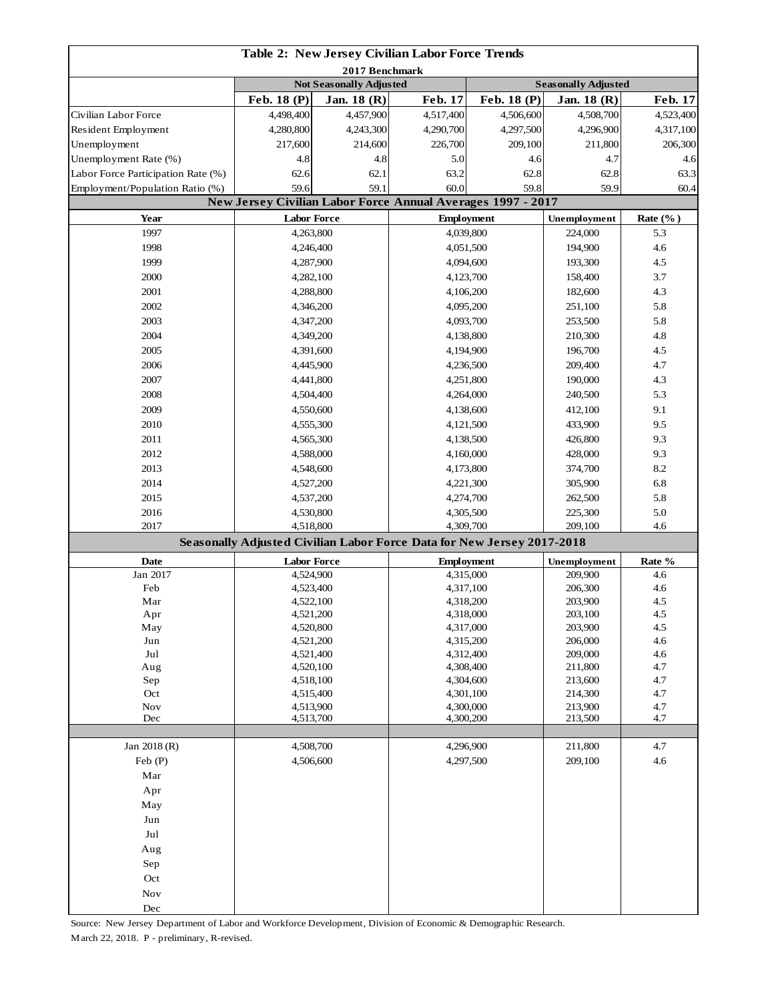| <b>Table 2: New Jersey Civilian Labor Force Trends</b> |                          |                                |                                                                        |             |                            |                             |  |
|--------------------------------------------------------|--------------------------|--------------------------------|------------------------------------------------------------------------|-------------|----------------------------|-----------------------------|--|
| 2017 Benchmark                                         |                          |                                |                                                                        |             |                            |                             |  |
|                                                        |                          | <b>Not Seasonally Adjusted</b> |                                                                        | Feb. 18 (P) | <b>Seasonally Adjusted</b> |                             |  |
| Civilian Labor Force                                   | Feb. 18 (P)<br>4,498,400 | Jan. $18(R)$<br>4,457,900      | Feb. 17<br>4,517,400                                                   | 4,506,600   | Jan. $18(R)$<br>4,508,700  | <b>Feb. 17</b><br>4,523,400 |  |
| Resident Employment                                    | 4,280,800                | 4,243,300                      | 4,290,700                                                              | 4,297,500   | 4,296,900                  | 4,317,100                   |  |
| Unemployment                                           | 217,600                  | 214,600                        | 226,700                                                                | 209,100     | 211,800                    | 206,300                     |  |
| Unemployment Rate (%)                                  | 4.8                      | 4.8                            | 5.0                                                                    | 4.6         | 4.7                        | 4.6                         |  |
| Labor Force Participation Rate (%)                     | 62.6                     | 62.1                           | 63.2                                                                   | 62.8        | 62.8                       | 63.3                        |  |
| Employment/Population Ratio (%)                        | 59.6                     | 59.1                           | 60.0                                                                   | 59.8        | 59.9                       | 60.4                        |  |
|                                                        |                          |                                | New Jersey Civilian Labor Force Annual Averages 1997 - 2017            |             |                            |                             |  |
| Year                                                   | <b>Labor Force</b>       |                                | <b>Employment</b>                                                      |             | Unemployment               | Rate $(\%$ )                |  |
| 1997                                                   | 4,263,800                |                                | 4,039,800                                                              |             | 224,000                    | 5.3                         |  |
| 1998                                                   | 4,246,400                |                                | 4,051,500                                                              |             | 194,900                    | 4.6                         |  |
| 1999                                                   | 4,287,900                |                                |                                                                        |             | 193,300                    | 4.5                         |  |
| 2000                                                   | 4,282,100                |                                | 4,094,600                                                              |             | 158,400                    | 3.7                         |  |
| 2001                                                   | 4,288,800                |                                | 4,123,700                                                              |             | 182,600                    | 4.3                         |  |
| 2002                                                   | 4,346,200                |                                | 4,106,200<br>4,095,200                                                 |             | 251,100                    | 5.8                         |  |
| 2003                                                   | 4,347,200                |                                | 4,093,700                                                              |             | 253,500                    | 5.8                         |  |
| 2004                                                   | 4,349,200                |                                | 4,138,800                                                              |             | 210,300                    | 4.8                         |  |
| 2005                                                   |                          |                                |                                                                        |             | 196,700                    | 4.5                         |  |
| 2006                                                   | 4,391,600<br>4,445,900   |                                | 4,194,900<br>4,236,500                                                 |             | 209,400                    | 4.7                         |  |
| 2007                                                   |                          |                                |                                                                        |             | 190,000                    | 4.3                         |  |
|                                                        | 4,441,800                |                                | 4,251,800                                                              |             |                            |                             |  |
| 2008                                                   | 4,504,400                |                                | 4,264,000                                                              |             | 240,500                    | 5.3                         |  |
| 2009                                                   | 4,550,600                |                                | 4,138,600                                                              |             | 412,100                    | 9.1                         |  |
| 2010                                                   | 4,555,300                |                                | 4,121,500                                                              |             | 433,900                    | 9.5                         |  |
| 2011                                                   | 4,565,300                |                                | 4,138,500                                                              |             | 426,800                    | 9.3                         |  |
| 2012                                                   | 4,588,000                |                                | 4,160,000                                                              |             | 428,000                    | 9.3                         |  |
| 2013                                                   | 4,548,600                |                                | 4,173,800                                                              |             | 374,700                    | 8.2                         |  |
| 2014                                                   | 4,527,200                |                                | 4,221,300                                                              |             | 305,900                    | 6.8                         |  |
| 2015                                                   | 4,537,200                |                                | 4,274,700                                                              |             | 262,500                    | 5.8                         |  |
| 2016<br>2017                                           | 4,530,800<br>4,518,800   |                                | 4,305,500<br>4,309,700                                                 |             | 225,300<br>209,100         | 5.0<br>4.6                  |  |
|                                                        |                          |                                | Seasonally Adjusted Civilian Labor Force Data for New Jersey 2017-2018 |             |                            |                             |  |
| <b>Date</b>                                            | <b>Labor Force</b>       |                                | <b>Employment</b>                                                      |             | Unemployment               | Rate %                      |  |
| Jan 2017                                               | 4,524,900                |                                | 4,315,000                                                              |             | 209,900                    | 4.6                         |  |
| Feb                                                    | 4,523,400                |                                | 4,317,100                                                              |             | 206,300                    | 4.6                         |  |
| Mar                                                    | 4,522,100                |                                | 4,318,200                                                              |             | 203,900                    | 4.5                         |  |
| Apr                                                    | 4,521,200                |                                | 4,318,000                                                              |             | 203,100                    | 4.5                         |  |
| May                                                    | 4,520,800                |                                | 4,317,000                                                              |             | 203,900                    | 4.5                         |  |
| Jun                                                    | 4,521,200                |                                | 4,315,200                                                              |             | 206,000                    | 4.6                         |  |
| Jul                                                    | 4,521,400                |                                | 4,312,400                                                              |             | 209,000                    | 4.6                         |  |
| Aug                                                    | 4,520,100                |                                | 4,308,400                                                              |             | 211,800                    | 4.7                         |  |
| Sep<br>Oct                                             | 4,518,100                |                                | 4,304,600<br>4,301,100                                                 |             | 213,600<br>214,300         | 4.7<br>4.7                  |  |
| <b>Nov</b>                                             | 4,515,400<br>4,513,900   |                                | 4,300,000                                                              |             | 213,900                    | 4.7                         |  |
| Dec                                                    | 4,513,700                |                                | 4,300,200                                                              |             | 213,500                    | 4.7                         |  |
|                                                        |                          |                                |                                                                        |             |                            |                             |  |
| Jan 2018 (R)                                           |                          | 4,508,700                      |                                                                        | 4,296,900   |                            | 4.7                         |  |
| Feb (P)                                                | 4,506,600                |                                | 4,297,500                                                              |             | 209,100                    | 4.6                         |  |
| Mar                                                    |                          |                                |                                                                        |             |                            |                             |  |
| Apr                                                    |                          |                                |                                                                        |             |                            |                             |  |
| May                                                    |                          |                                |                                                                        |             |                            |                             |  |
| Jun                                                    |                          |                                |                                                                        |             |                            |                             |  |
| Jul                                                    |                          |                                |                                                                        |             |                            |                             |  |
| Aug                                                    |                          |                                |                                                                        |             |                            |                             |  |
| Sep                                                    |                          |                                |                                                                        |             |                            |                             |  |
| Oct                                                    |                          |                                |                                                                        |             |                            |                             |  |
| $\operatorname{Nov}$                                   |                          |                                |                                                                        |             |                            |                             |  |
| Dec                                                    |                          |                                |                                                                        |             |                            |                             |  |

Source: New Jersey Department of Labor and Workforce Development, Division of Economic & Demographic Research. March 22, 2018. P - preliminary, R-revised.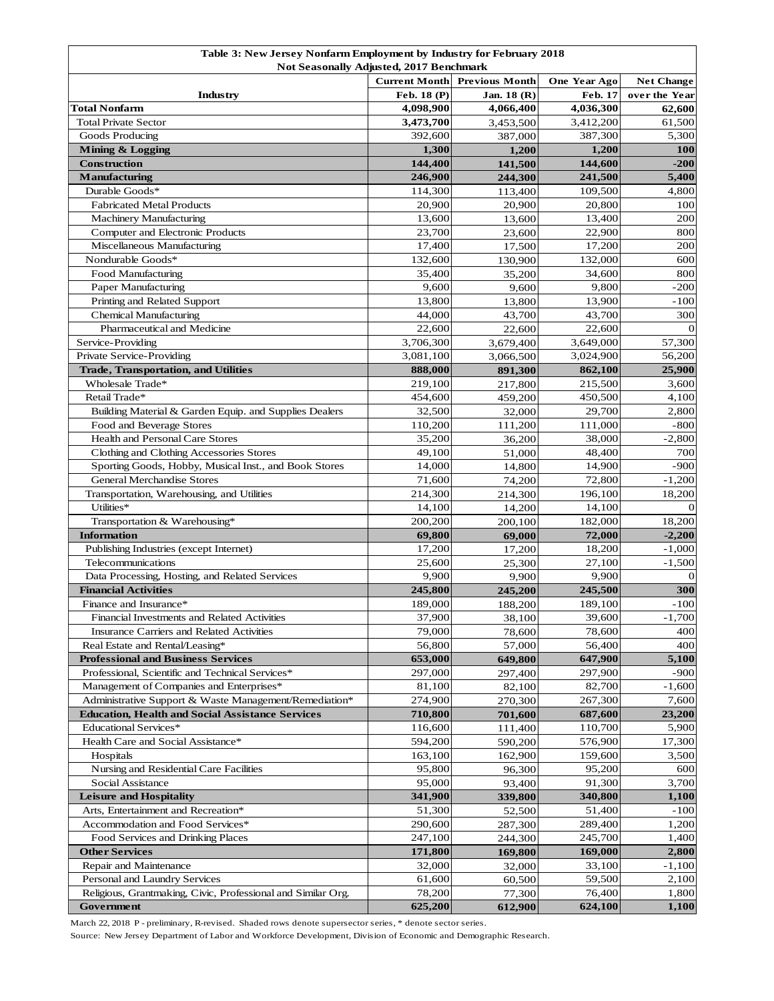|                                                                                                                   | Table 3: New Jersey Nonfarm Employment by Industry for February 2018 |                       |              |                   |  |  |  |
|-------------------------------------------------------------------------------------------------------------------|----------------------------------------------------------------------|-----------------------|--------------|-------------------|--|--|--|
| <b>Not Seasonally Adjusted, 2017 Benchmark</b>                                                                    |                                                                      |                       |              |                   |  |  |  |
|                                                                                                                   | <b>Current Month</b>                                                 | <b>Previous Month</b> | One Year Ago | <b>Net Change</b> |  |  |  |
| Industry                                                                                                          | Feb. 18 (P)                                                          | Jan. 18 (R)           | Feb. 17      | over the Year     |  |  |  |
| Total Nonfarm                                                                                                     | 4,098,900                                                            | 4,066,400             | 4,036,300    | 62,600            |  |  |  |
| <b>Total Private Sector</b>                                                                                       | 3,473,700                                                            | 3,453,500             | 3,412,200    | 61,500            |  |  |  |
| Goods Producing                                                                                                   | 392,600                                                              | 387,000               | 387,300      | 5,300             |  |  |  |
| Mining & Logging                                                                                                  | 1,300                                                                | 1,200                 | 1,200        | <b>100</b>        |  |  |  |
| <b>Construction</b>                                                                                               | 144,400                                                              | 141,500               | 144,600      | $-200$            |  |  |  |
| <b>Manufacturing</b>                                                                                              | 246,900                                                              | 244,300               | 241,500      | 5,400             |  |  |  |
| Durable Goods*                                                                                                    | 114,300                                                              | 113,400               | 109,500      | 4,800             |  |  |  |
| <b>Fabricated Metal Products</b>                                                                                  | 20,900                                                               | 20,900                | 20,800       | 100               |  |  |  |
| <b>Machinery Manufacturing</b>                                                                                    | 13,600                                                               | 13,600                | 13,400       | 200               |  |  |  |
| Computer and Electronic Products                                                                                  | 23,700                                                               | 23,600                | 22,900       | 800               |  |  |  |
| Miscellaneous Manufacturing                                                                                       | 17,400                                                               | 17,500                | 17,200       | 200               |  |  |  |
| Nondurable Goods*                                                                                                 | 132,600                                                              | 130,900               | 132,000      | 600               |  |  |  |
| Food Manufacturing                                                                                                | 35,400                                                               | 35,200                | 34,600       | 800               |  |  |  |
| Paper Manufacturing                                                                                               | 9,600                                                                | 9,600                 | 9,800        | $-200$            |  |  |  |
| Printing and Related Support                                                                                      | 13,800                                                               | 13,800                | 13.900       | $-100$            |  |  |  |
| <b>Chemical Manufacturing</b>                                                                                     | 44,000                                                               | 43,700                | 43,700       | 300               |  |  |  |
| Pharmaceutical and Medicine                                                                                       | 22,600                                                               | 22,600                | 22,600       | $\Omega$          |  |  |  |
| Service-Providing                                                                                                 | 3,706,300                                                            | 3,679,400             | 3,649,000    | 57,300            |  |  |  |
| Private Service-Providing                                                                                         | 3,081,100                                                            | 3,066,500             | 3,024,900    | 56,200            |  |  |  |
| <b>Trade, Transportation, and Utilities</b>                                                                       | 888,000                                                              | 891,300               | 862,100      | 25,900            |  |  |  |
| Wholesale Trade*                                                                                                  | 219,100                                                              | 217,800               | 215,500      | 3,600             |  |  |  |
| Retail Trade*                                                                                                     | 454,600                                                              | 459,200               | 450,500      | 4,100             |  |  |  |
| Building Material & Garden Equip. and Supplies Dealers                                                            | 32,500                                                               | 32,000                | 29,700       | 2,800             |  |  |  |
| Food and Beverage Stores                                                                                          | 110,200                                                              | 111,200               | 111,000      | $-800$            |  |  |  |
| <b>Health and Personal Care Stores</b>                                                                            | 35,200                                                               | 36,200                | 38,000       | $-2,800$          |  |  |  |
| Clothing and Clothing Accessories Stores                                                                          | 49,100                                                               | 51,000                | 48,400       | 700               |  |  |  |
| Sporting Goods, Hobby, Musical Inst., and Book Stores                                                             | 14,000                                                               | 14,800                | 14,900       | -900              |  |  |  |
| <b>General Merchandise Stores</b>                                                                                 | 71,600                                                               | 74,200                | 72,800       | $-1,200$          |  |  |  |
| Transportation, Warehousing, and Utilities                                                                        | 214,300                                                              | 214,300               | 196,100      | 18,200            |  |  |  |
| Utilities*                                                                                                        | 14,100                                                               | 14,200                | 14,100       |                   |  |  |  |
| Transportation & Warehousing*                                                                                     | 200,200                                                              | 200,100               | 182,000      | 18,200            |  |  |  |
| <b>Information</b>                                                                                                | 69,800                                                               | 69,000                | 72,000       | $-2,200$          |  |  |  |
| Publishing Industries (except Internet)                                                                           | 17,200                                                               | 17,200                | 18,200       | $-1,000$          |  |  |  |
| Telecommunications                                                                                                | 25,600                                                               | 25,300                | 27,100       | $-1,500$          |  |  |  |
| Data Processing, Hosting, and Related Services                                                                    | 9,900                                                                | 9,900                 | 9,900        | $\theta$          |  |  |  |
| <b>Financial Activities</b>                                                                                       | 245,800                                                              | 245,200               | 245,500      | 300               |  |  |  |
| Finance and Insurance*                                                                                            | 189,000                                                              | 188,200               | 189,100      | $-100$            |  |  |  |
| Financial Investments and Related Activities                                                                      | 37,900                                                               | 38,100                | 39,600       | $-1,700$          |  |  |  |
| Insurance Carriers and Related Activities                                                                         | 79,000                                                               | 78,600                | 78,600       | 400               |  |  |  |
| Real Estate and Rental/Leasing*                                                                                   | 56,800                                                               | 57,000                | 56,400       | 400               |  |  |  |
| <b>Professional and Business Services</b>                                                                         | 653,000                                                              | 649,800               | 647,900      | 5,100             |  |  |  |
| Professional, Scientific and Technical Services*                                                                  | 297,000                                                              | 297,400               | 297,900      | $-900$            |  |  |  |
| Management of Companies and Enterprises*                                                                          |                                                                      |                       | 82,700       |                   |  |  |  |
|                                                                                                                   | 81,100                                                               | 82,100                |              | $-1,600$          |  |  |  |
| Administrative Support & Waste Management/Remediation*<br><b>Education, Health and Social Assistance Services</b> | 274,900                                                              | 270,300               | 267,300      | 7,600<br>23,200   |  |  |  |
| <b>Educational Services*</b>                                                                                      | 710,800                                                              | 701,600               | 687,600      |                   |  |  |  |
|                                                                                                                   | 116,600                                                              | 111,400               | 110,700      | 5,900             |  |  |  |
| Health Care and Social Assistance*                                                                                | 594,200                                                              | 590,200               | 576,900      | 17,300            |  |  |  |
| Hospitals                                                                                                         | 163,100                                                              | 162,900               | 159,600      | 3,500             |  |  |  |
| Nursing and Residential Care Facilities                                                                           | 95,800                                                               | 96,300                | 95,200       | 600               |  |  |  |
| Social Assistance                                                                                                 | 95,000                                                               | 93,400                | 91,300       | 3,700             |  |  |  |
| <b>Leisure and Hospitality</b>                                                                                    | 341,900                                                              | 339,800               | 340,800      | 1,100             |  |  |  |
| Arts, Entertainment and Recreation*                                                                               | 51,300                                                               | 52,500                | 51,400       | -100              |  |  |  |
| Accommodation and Food Services*                                                                                  | 290,600                                                              | 287,300               | 289,400      | 1,200             |  |  |  |
| Food Services and Drinking Places                                                                                 | 247,100                                                              | 244,300               | 245,700      | 1,400             |  |  |  |
| <b>Other Services</b>                                                                                             | 171,800                                                              | 169,800               | 169,000      | 2,800             |  |  |  |
| Repair and Maintenance                                                                                            | 32,000                                                               | 32,000                | 33,100       | -1,100            |  |  |  |
| Personal and Laundry Services                                                                                     | 61,600                                                               | 60,500                | 59,500       | 2,100             |  |  |  |
| Religious, Grantmaking, Civic, Professional and Similar Org.                                                      | 78,200                                                               | 77,300                | 76,400       | 1,800             |  |  |  |
| Government                                                                                                        | 625,200                                                              | 612,900               | 624,100      | 1,100             |  |  |  |

March 22, 2018 P - preliminary, R-revised. Shaded rows denote supersector series, \* denote sector series.

Source: New Jersey Department of Labor and Workforce Development, Division of Economic and Demographic Research.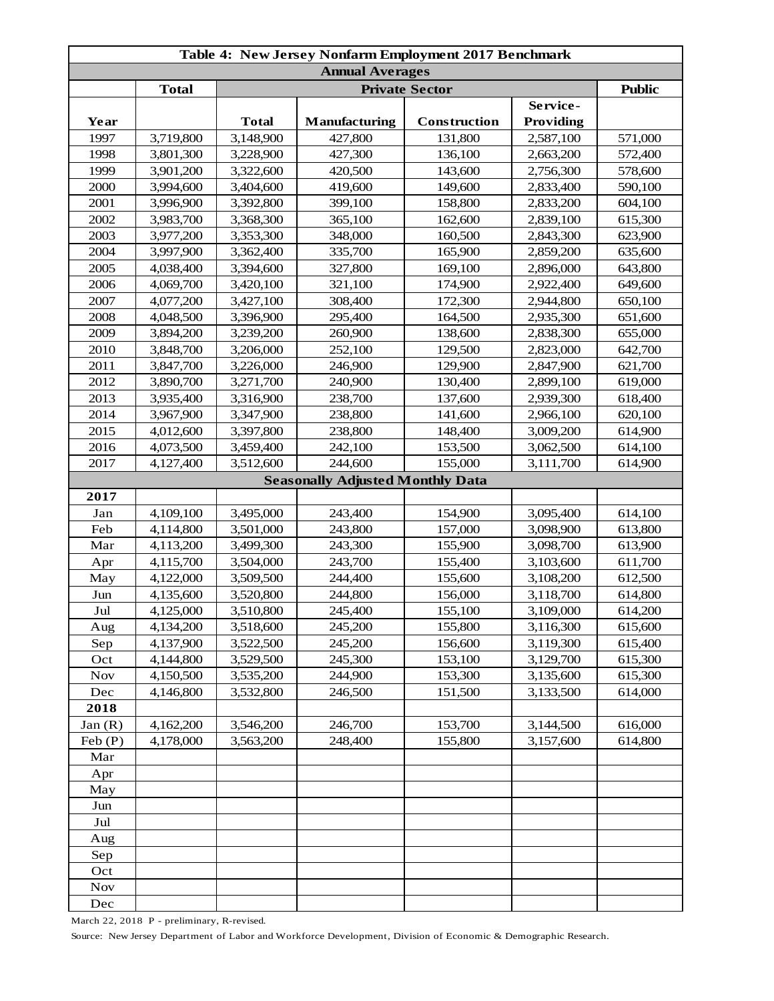| Table 4: New Jersey Nonfarm Employment 2017 Benchmark |              |              |                                         |              |           |         |  |
|-------------------------------------------------------|--------------|--------------|-----------------------------------------|--------------|-----------|---------|--|
| <b>Annual Averages</b>                                |              |              |                                         |              |           |         |  |
|                                                       | <b>Total</b> |              | <b>Public</b>                           |              |           |         |  |
|                                                       |              |              |                                         |              | Service-  |         |  |
| Year                                                  |              | <b>Total</b> | <b>Manufacturing</b>                    | Construction | Providing |         |  |
| 1997                                                  | 3,719,800    | 3,148,900    | 427,800                                 | 131,800      | 2,587,100 | 571,000 |  |
| 1998                                                  | 3,801,300    | 3,228,900    | 427,300                                 | 136,100      | 2,663,200 | 572,400 |  |
| 1999                                                  | 3,901,200    | 3,322,600    | 420,500                                 | 143,600      | 2,756,300 | 578,600 |  |
| 2000                                                  | 3,994,600    | 3,404,600    | 419,600                                 | 149,600      | 2,833,400 | 590,100 |  |
| 2001                                                  | 3,996,900    | 3,392,800    | 399,100                                 | 158,800      | 2,833,200 | 604,100 |  |
| 2002                                                  | 3,983,700    | 3,368,300    | 365,100                                 | 162,600      | 2,839,100 | 615,300 |  |
| 2003                                                  | 3,977,200    | 3,353,300    | 348,000                                 | 160,500      | 2,843,300 | 623,900 |  |
| 2004                                                  | 3,997,900    | 3,362,400    | 335,700                                 | 165,900      | 2,859,200 | 635,600 |  |
| 2005                                                  | 4,038,400    | 3,394,600    | 327,800                                 | 169,100      | 2,896,000 | 643,800 |  |
| 2006                                                  | 4,069,700    | 3,420,100    | 321,100                                 | 174,900      | 2,922,400 | 649,600 |  |
| 2007                                                  | 4,077,200    | 3,427,100    | 308,400                                 | 172,300      | 2,944,800 | 650,100 |  |
| 2008                                                  | 4,048,500    | 3,396,900    | 295,400                                 | 164,500      | 2,935,300 | 651,600 |  |
| 2009                                                  | 3,894,200    | 3,239,200    | 260,900                                 | 138,600      | 2,838,300 | 655,000 |  |
| 2010                                                  | 3,848,700    | 3,206,000    | 252,100                                 | 129,500      | 2,823,000 | 642,700 |  |
| 2011                                                  | 3,847,700    | 3,226,000    | 246,900                                 | 129,900      | 2,847,900 | 621,700 |  |
| 2012                                                  | 3,890,700    | 3,271,700    | 240,900                                 | 130,400      | 2,899,100 | 619,000 |  |
| 2013                                                  | 3,935,400    | 3,316,900    | 238,700                                 | 137,600      | 2,939,300 | 618,400 |  |
| 2014                                                  | 3,967,900    | 3,347,900    | 238,800                                 | 141,600      | 2,966,100 | 620,100 |  |
| 2015                                                  | 4,012,600    | 3,397,800    | 238,800                                 | 148,400      | 3,009,200 | 614,900 |  |
| 2016                                                  | 4,073,500    | 3,459,400    | 242,100                                 | 153,500      | 3,062,500 | 614,100 |  |
| 2017                                                  | 4,127,400    | 3,512,600    | 244,600                                 | 155,000      | 3,111,700 | 614,900 |  |
|                                                       |              |              | <b>Seasonally Adjusted Monthly Data</b> |              |           |         |  |
| 2017                                                  |              |              |                                         |              |           |         |  |
| Jan                                                   | 4,109,100    | 3,495,000    | 243,400                                 | 154,900      | 3,095,400 | 614,100 |  |
| Feb                                                   | 4,114,800    | 3,501,000    | 243,800                                 | 157,000      | 3,098,900 | 613,800 |  |
| Mar                                                   | 4,113,200    | 3,499,300    | 243,300                                 | 155,900      | 3,098,700 | 613,900 |  |
| Apr                                                   | 4,115,700    | 3,504,000    | 243,700                                 | 155,400      | 3,103,600 | 611,700 |  |
| May                                                   | 4,122,000    | 3,509,500    | 244,400                                 | 155,600      | 3,108,200 | 612,500 |  |
| Jun                                                   | 4,135,600    | 3,520,800    | 244,800                                 | 156,000      | 3,118,700 | 614,800 |  |
| Jul                                                   | 4,125,000    | 3,510,800    | 245,400                                 | 155,100      | 3,109,000 | 614,200 |  |
| Aug                                                   | 4,134,200    | 3,518,600    | 245,200                                 | 155,800      | 3,116,300 | 615,600 |  |
| Sep                                                   | 4,137,900    | 3,522,500    | 245,200                                 | 156,600      | 3,119,300 | 615,400 |  |
| Oct                                                   | 4,144,800    | 3,529,500    | 245,300                                 | 153,100      | 3,129,700 | 615,300 |  |
| <b>Nov</b>                                            | 4,150,500    | 3,535,200    | 244,900                                 | 153,300      | 3,135,600 | 615,300 |  |
| Dec                                                   | 4,146,800    | 3,532,800    | 246,500                                 | 151,500      | 3,133,500 | 614,000 |  |
| 2018                                                  |              |              |                                         |              |           |         |  |
| Jan(R)                                                | 4,162,200    | 3,546,200    | 246,700                                 | 153,700      | 3,144,500 | 616,000 |  |
| Feb(P)                                                | 4,178,000    | 3,563,200    | 248,400                                 | 155,800      | 3,157,600 | 614,800 |  |
| Mar                                                   |              |              |                                         |              |           |         |  |
| Apr                                                   |              |              |                                         |              |           |         |  |
| May                                                   |              |              |                                         |              |           |         |  |
| Jun                                                   |              |              |                                         |              |           |         |  |
| Jul                                                   |              |              |                                         |              |           |         |  |
| Aug                                                   |              |              |                                         |              |           |         |  |
| Sep                                                   |              |              |                                         |              |           |         |  |
| Oct                                                   |              |              |                                         |              |           |         |  |
| <b>Nov</b>                                            |              |              |                                         |              |           |         |  |
| Dec                                                   |              |              |                                         |              |           |         |  |

March 22, 2018 P - preliminary, R-revised.

Source: New Jersey Department of Labor and Workforce Development, Division of Economic & Demographic Research.